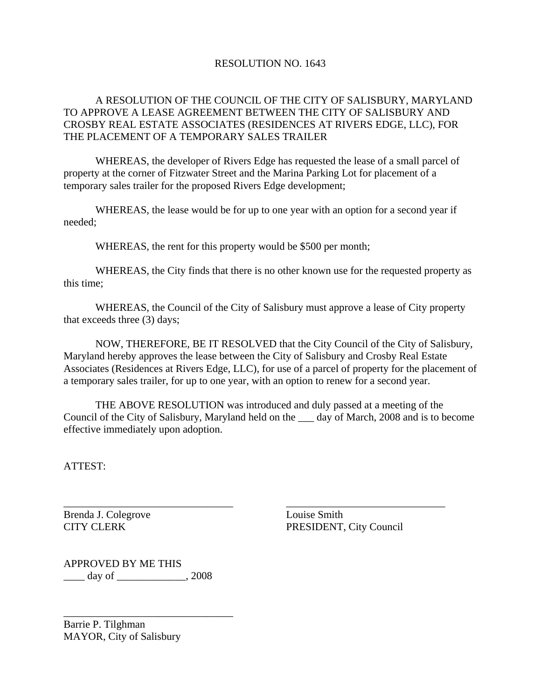## RESOLUTION NO. 1643

# A RESOLUTION OF THE COUNCIL OF THE CITY OF SALISBURY, MARYLAND TO APPROVE A LEASE AGREEMENT BETWEEN THE CITY OF SALISBURY AND CROSBY REAL ESTATE ASSOCIATES (RESIDENCES AT RIVERS EDGE, LLC), FOR THE PLACEMENT OF A TEMPORARY SALES TRAILER

 WHEREAS, the developer of Rivers Edge has requested the lease of a small parcel of property at the corner of Fitzwater Street and the Marina Parking Lot for placement of a temporary sales trailer for the proposed Rivers Edge development;

 WHEREAS, the lease would be for up to one year with an option for a second year if needed;

WHEREAS, the rent for this property would be \$500 per month;

 WHEREAS, the City finds that there is no other known use for the requested property as this time;

 WHEREAS, the Council of the City of Salisbury must approve a lease of City property that exceeds three (3) days;

 NOW, THEREFORE, BE IT RESOLVED that the City Council of the City of Salisbury, Maryland hereby approves the lease between the City of Salisbury and Crosby Real Estate Associates (Residences at Rivers Edge, LLC), for use of a parcel of property for the placement of a temporary sales trailer, for up to one year, with an option to renew for a second year.

 THE ABOVE RESOLUTION was introduced and duly passed at a meeting of the Council of the City of Salisbury, Maryland held on the \_\_\_ day of March, 2008 and is to become effective immediately upon adoption.

\_\_\_\_\_\_\_\_\_\_\_\_\_\_\_\_\_\_\_\_\_\_\_\_\_\_\_\_\_\_\_\_ \_\_\_\_\_\_\_\_\_\_\_\_\_\_\_\_\_\_\_\_\_\_\_\_\_\_\_\_\_\_

ATTEST:

Brenda J. Colegrove Louise Smith

CITY CLERK PRESIDENT, City Council

APPROVED BY ME THIS \_\_\_\_ day of \_\_\_\_\_\_\_\_\_\_\_\_\_, 2008

\_\_\_\_\_\_\_\_\_\_\_\_\_\_\_\_\_\_\_\_\_\_\_\_\_\_\_\_\_\_\_\_

Barrie P. Tilghman MAYOR, City of Salisbury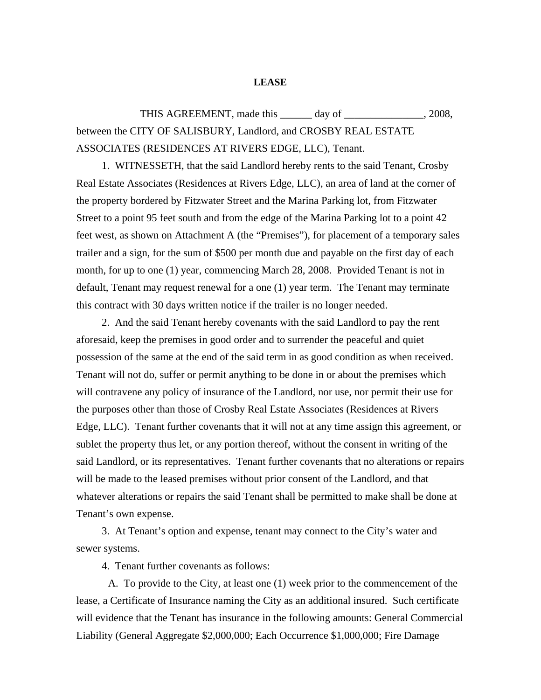#### **LEASE**

THIS AGREEMENT, made this \_\_\_\_\_\_ day of \_\_\_\_\_\_\_\_\_\_\_\_\_\_\_, 2008, between the CITY OF SALISBURY, Landlord, and CROSBY REAL ESTATE ASSOCIATES (RESIDENCES AT RIVERS EDGE, LLC), Tenant.

1. WITNESSETH, that the said Landlord hereby rents to the said Tenant, Crosby Real Estate Associates (Residences at Rivers Edge, LLC), an area of land at the corner of the property bordered by Fitzwater Street and the Marina Parking lot, from Fitzwater Street to a point 95 feet south and from the edge of the Marina Parking lot to a point 42 feet west, as shown on Attachment A (the "Premises"), for placement of a temporary sales trailer and a sign, for the sum of \$500 per month due and payable on the first day of each month, for up to one (1) year, commencing March 28, 2008. Provided Tenant is not in default, Tenant may request renewal for a one (1) year term. The Tenant may terminate this contract with 30 days written notice if the trailer is no longer needed.

2. And the said Tenant hereby covenants with the said Landlord to pay the rent aforesaid, keep the premises in good order and to surrender the peaceful and quiet possession of the same at the end of the said term in as good condition as when received. Tenant will not do, suffer or permit anything to be done in or about the premises which will contravene any policy of insurance of the Landlord, nor use, nor permit their use for the purposes other than those of Crosby Real Estate Associates (Residences at Rivers Edge, LLC). Tenant further covenants that it will not at any time assign this agreement, or sublet the property thus let, or any portion thereof, without the consent in writing of the said Landlord, or its representatives. Tenant further covenants that no alterations or repairs will be made to the leased premises without prior consent of the Landlord, and that whatever alterations or repairs the said Tenant shall be permitted to make shall be done at Tenant's own expense.

3. At Tenant's option and expense, tenant may connect to the City's water and sewer systems.

4. Tenant further covenants as follows:

A. To provide to the City, at least one (1) week prior to the commencement of the lease, a Certificate of Insurance naming the City as an additional insured. Such certificate will evidence that the Tenant has insurance in the following amounts: General Commercial Liability (General Aggregate \$2,000,000; Each Occurrence \$1,000,000; Fire Damage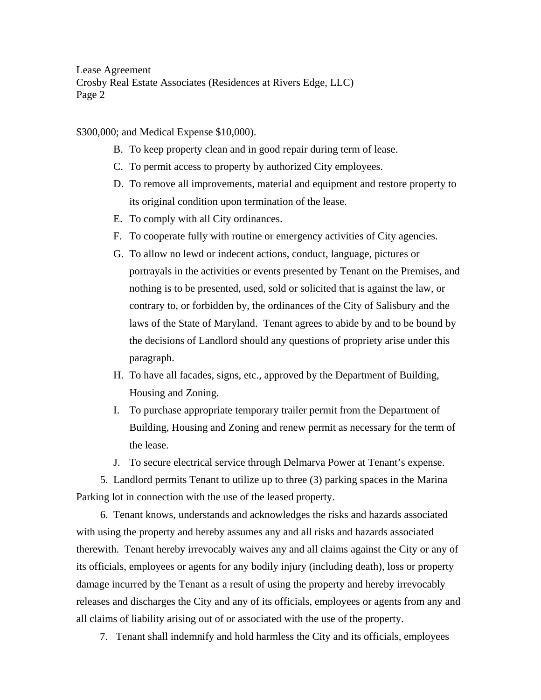Lease Agreement Crosby Real Estate Associates (Residences at Rivers Edge, LLC) Page 2

\$300,000; and Medical Expense \$10,000).

- B. To keep property clean and in good repair during term of lease.
- C. To permit access to property by authorized City employees.
- D. To remove all improvements, material and equipment and restore property to its original condition upon termination of the lease.
- E. To comply with all City ordinances.
- F. To cooperate fully with routine or emergency activities of City agencies.
- G. To allow no lewd or indecent actions, conduct, language, pictures or portrayals in the activities or events presented by Tenant on the Premises, and nothing is to be presented, used, sold or solicited that is against the law, or contrary to, or forbidden by, the ordinances of the City of Salisbury and the laws of the State of Maryland. Tenant agrees to abide by and to be bound by the decisions of Landlord should any questions of propriety arise under this paragraph.
- H. To have all facades, signs, etc., approved by the Department of Building, Housing and Zoning.
- I. To purchase appropriate temporary trailer permit from the Department of Building, Housing and Zoning and renew permit as necessary for the term of the lease.

J. To secure electrical service through Delmarva Power at Tenant's expense.

 5. Landlord permits Tenant to utilize up to three (3) parking spaces in the Marina Parking lot in connection with the use of the leased property.

 6. Tenant knows, understands and acknowledges the risks and hazards associated with using the property and hereby assumes any and all risks and hazards associated therewith. Tenant hereby irrevocably waives any and all claims against the City or any of its officials, employees or agents for any bodily injury (including death), loss or property damage incurred by the Tenant as a result of using the property and hereby irrevocably releases and discharges the City and any of its officials, employees or agents from any and all claims of liability arising out of or associated with the use of the property.

7. Tenant shall indemnify and hold harmless the City and its officials, employees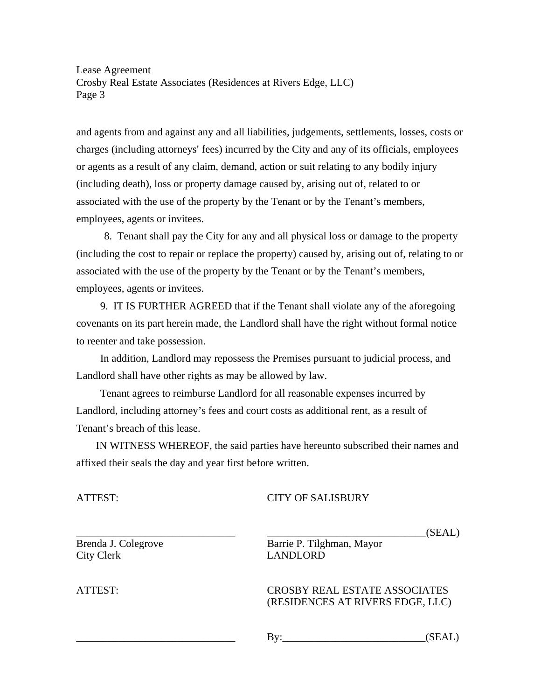Lease Agreement Crosby Real Estate Associates (Residences at Rivers Edge, LLC) Page 3

and agents from and against any and all liabilities, judgements, settlements, losses, costs or charges (including attorneys' fees) incurred by the City and any of its officials, employees or agents as a result of any claim, demand, action or suit relating to any bodily injury (including death), loss or property damage caused by, arising out of, related to or associated with the use of the property by the Tenant or by the Tenant's members, employees, agents or invitees.

 8. Tenant shall pay the City for any and all physical loss or damage to the property (including the cost to repair or replace the property) caused by, arising out of, relating to or associated with the use of the property by the Tenant or by the Tenant's members, employees, agents or invitees.

 9. IT IS FURTHER AGREED that if the Tenant shall violate any of the aforegoing covenants on its part herein made, the Landlord shall have the right without formal notice to reenter and take possession.

 In addition, Landlord may repossess the Premises pursuant to judicial process, and Landlord shall have other rights as may be allowed by law.

 Tenant agrees to reimburse Landlord for all reasonable expenses incurred by Landlord, including attorney's fees and court costs as additional rent, as a result of Tenant's breach of this lease.

 IN WITNESS WHEREOF, the said parties have hereunto subscribed their names and affixed their seals the day and year first before written.

### ATTEST: CITY OF SALISBURY

City Clerk LANDLORD

Brenda J. Colegrove Barrie P. Tilghman, Mayor

### ATTEST: CROSBY REAL ESTATE ASSOCIATES (RESIDENCES AT RIVERS EDGE, LLC)

\_\_\_\_\_\_\_\_\_\_\_\_\_\_\_\_\_\_\_\_\_\_\_\_\_\_\_\_\_\_ By:\_\_\_\_\_\_\_\_\_\_\_\_\_\_\_\_\_\_\_\_\_\_\_\_\_\_\_(SEAL)

\_\_\_\_\_\_\_\_\_\_\_\_\_\_\_\_\_\_\_\_\_\_\_\_\_\_\_\_\_\_ \_\_\_\_\_\_\_\_\_\_\_\_\_\_\_\_\_\_\_\_\_\_\_\_\_\_\_\_\_\_(SEAL)